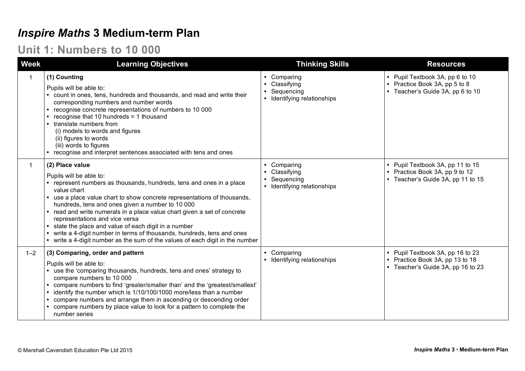### *Inspire Maths* **3 Medium-term Plan**

#### **Unit 1: Numbers to 10 000**

| <b>Week</b> | <b>Learning Objectives</b>                                                                                                                                                                                                                                                                                                                                                                                                                                                                                                                                                                            | <b>Thinking Skills</b>                                                             | <b>Resources</b>                                                                                         |
|-------------|-------------------------------------------------------------------------------------------------------------------------------------------------------------------------------------------------------------------------------------------------------------------------------------------------------------------------------------------------------------------------------------------------------------------------------------------------------------------------------------------------------------------------------------------------------------------------------------------------------|------------------------------------------------------------------------------------|----------------------------------------------------------------------------------------------------------|
|             | (1) Counting<br>Pupils will be able to:<br>count in ones, tens, hundreds and thousands, and read and write their<br>corresponding numbers and number words<br>recognise concrete representations of numbers to 10 000<br>recognise that 10 hundreds = 1 thousand<br>translate numbers from<br>(i) models to words and figures<br>(ii) figures to words<br>(iii) words to figures<br>recognise and interpret sentences associated with tens and ones                                                                                                                                                   | • Comparing<br>• Classifying<br>Sequencing<br>• Identifying relationships          | • Pupil Textbook 3A, pp 6 to 10<br>• Practice Book 3A, pp 5 to 8<br>• Teacher's Guide 3A, pp 6 to 10     |
|             | (2) Place value<br>Pupils will be able to:<br>represent numbers as thousands, hundreds, tens and ones in a place<br>value chart<br>use a place value chart to show concrete representations of thousands,<br>$\bullet$<br>hundreds, tens and ones given a number to 10 000<br>read and write numerals in a place value chart given a set of concrete<br>representations and vice versa<br>state the place and value of each digit in a number<br>write a 4-digit number in terms of thousands, hundreds, tens and ones<br>write a 4-digit number as the sum of the values of each digit in the number | Comparing<br>$\bullet$<br>Classifying<br>Sequencing<br>• Identifying relationships | • Pupil Textbook 3A, pp 11 to 15<br>• Practice Book 3A, pp 9 to 12<br>• Teacher's Guide 3A, pp 11 to 15  |
| $1 - 2$     | (3) Comparing, order and pattern<br>Pupils will be able to:<br>use the 'comparing thousands, hundreds, tens and ones' strategy to<br>compare numbers to 10 000<br>compare numbers to find 'greater/smaller than' and the 'greatest/smallest'<br>identify the number which is 1/10/100/1000 more/less than a number<br>compare numbers and arrange them in ascending or descending order<br>compare numbers by place value to look for a pattern to complete the<br>number series                                                                                                                      | • Comparing<br>• Identifying relationships                                         | • Pupil Textbook 3A, pp 16 to 23<br>• Practice Book 3A, pp 13 to 18<br>• Teacher's Guide 3A, pp 16 to 23 |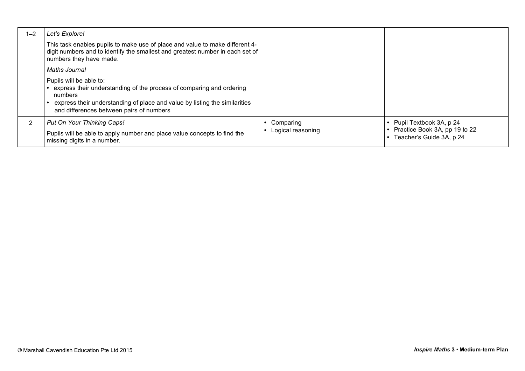| $1 - 2$ | Let's Explore!                                                                                                                                                                                                                       |                                |                                                                                      |
|---------|--------------------------------------------------------------------------------------------------------------------------------------------------------------------------------------------------------------------------------------|--------------------------------|--------------------------------------------------------------------------------------|
|         | This task enables pupils to make use of place and value to make different 4-<br>digit numbers and to identify the smallest and greatest number in each set of<br>numbers they have made.                                             |                                |                                                                                      |
|         | Maths Journal                                                                                                                                                                                                                        |                                |                                                                                      |
|         | Pupils will be able to:<br>express their understanding of the process of comparing and ordering<br>numbers<br>express their understanding of place and value by listing the similarities<br>and differences between pairs of numbers |                                |                                                                                      |
|         | Put On Your Thinking Caps!<br>Pupils will be able to apply number and place value concepts to find the<br>missing digits in a number.                                                                                                | Comparing<br>Logical reasoning | Pupil Textbook 3A, p 24<br>Practice Book 3A, pp 19 to 22<br>Teacher's Guide 3A, p 24 |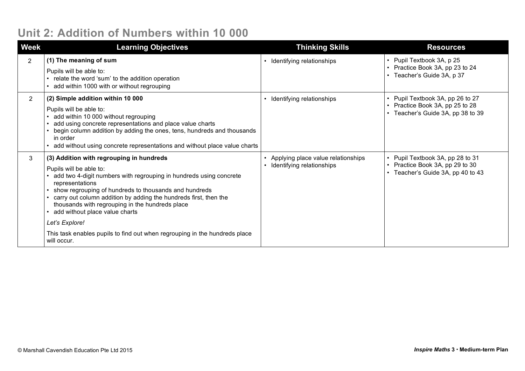### **Unit 2: Addition of Numbers within 10 000**

| <b>Week</b>    | <b>Learning Objectives</b>                                                                                                                                                                                                                                                                                                                                                                       | <b>Thinking Skills</b>                                          | <b>Resources</b>                                                                                     |
|----------------|--------------------------------------------------------------------------------------------------------------------------------------------------------------------------------------------------------------------------------------------------------------------------------------------------------------------------------------------------------------------------------------------------|-----------------------------------------------------------------|------------------------------------------------------------------------------------------------------|
| $\overline{2}$ | (1) The meaning of sum<br>Pupils will be able to:<br>relate the word 'sum' to the addition operation<br>add within 1000 with or without regrouping                                                                                                                                                                                                                                               | Identifying relationships                                       | • Pupil Textbook 3A, p 25<br>• Practice Book 3A, pp 23 to 24<br>• Teacher's Guide 3A, p 37           |
| $\overline{2}$ | (2) Simple addition within 10 000<br>Pupils will be able to:<br>add within 10 000 without regrouping<br>add using concrete representations and place value charts<br>begin column addition by adding the ones, tens, hundreds and thousands<br>in order<br>add without using concrete representations and without place value charts                                                             | Identifying relationships                                       | Pupil Textbook 3A, pp 26 to 27<br>• Practice Book 3A, pp 25 to 28<br>Teacher's Guide 3A, pp 38 to 39 |
| 3              | (3) Addition with regrouping in hundreds<br>Pupils will be able to:<br>add two 4-digit numbers with regrouping in hundreds using concrete<br>representations<br>show regrouping of hundreds to thousands and hundreds<br>carry out column addition by adding the hundreds first, then the<br>thousands with regrouping in the hundreds place<br>add without place value charts<br>Let's Explore! | Applying place value relationships<br>Identifying relationships | • Pupil Textbook 3A, pp 28 to 31<br>Practice Book 3A, pp 29 to 30<br>Teacher's Guide 3A, pp 40 to 43 |
|                | This task enables pupils to find out when regrouping in the hundreds place<br>will occur.                                                                                                                                                                                                                                                                                                        |                                                                 |                                                                                                      |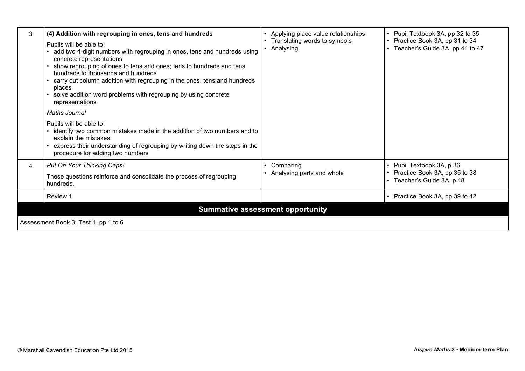| 3                                    | (4) Addition with regrouping in ones, tens and hundreds<br>Pupils will be able to:<br>add two 4-digit numbers with regrouping in ones, tens and hundreds using<br>concrete representations<br>• show regrouping of ones to tens and ones; tens to hundreds and tens;<br>hundreds to thousands and hundreds<br>• carry out column addition with regrouping in the ones, tens and hundreds<br>places<br>• solve addition word problems with regrouping by using concrete<br>representations | Applying place value relationships<br>Translating words to symbols<br>Analysing | • Pupil Textbook 3A, pp 32 to 35<br>• Practice Book 3A, pp 31 to 34<br>Teacher's Guide 3A, pp 44 to 47 |
|--------------------------------------|-------------------------------------------------------------------------------------------------------------------------------------------------------------------------------------------------------------------------------------------------------------------------------------------------------------------------------------------------------------------------------------------------------------------------------------------------------------------------------------------|---------------------------------------------------------------------------------|--------------------------------------------------------------------------------------------------------|
|                                      | <b>Maths Journal</b>                                                                                                                                                                                                                                                                                                                                                                                                                                                                      |                                                                                 |                                                                                                        |
|                                      | Pupils will be able to:<br>• identify two common mistakes made in the addition of two numbers and to<br>explain the mistakes<br>• express their understanding of regrouping by writing down the steps in the<br>procedure for adding two numbers                                                                                                                                                                                                                                          |                                                                                 |                                                                                                        |
| 4                                    | Put On Your Thinking Caps!                                                                                                                                                                                                                                                                                                                                                                                                                                                                | Comparing                                                                       | • Pupil Textbook 3A, p 36                                                                              |
|                                      | These questions reinforce and consolidate the process of regrouping<br>hundreds.                                                                                                                                                                                                                                                                                                                                                                                                          | Analysing parts and whole                                                       | • Practice Book 3A, pp 35 to 38<br>Teacher's Guide 3A, p 48                                            |
|                                      | Review 1                                                                                                                                                                                                                                                                                                                                                                                                                                                                                  |                                                                                 | • Practice Book 3A, pp 39 to 42                                                                        |
|                                      |                                                                                                                                                                                                                                                                                                                                                                                                                                                                                           | <b>Summative assessment opportunity</b>                                         |                                                                                                        |
| Assessment Book 3, Test 1, pp 1 to 6 |                                                                                                                                                                                                                                                                                                                                                                                                                                                                                           |                                                                                 |                                                                                                        |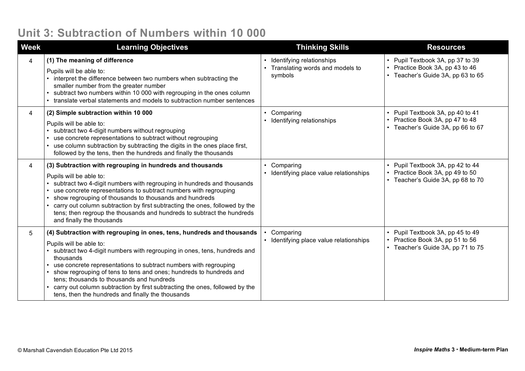#### **Unit 3: Subtraction of Numbers within 10 000**

| <b>Week</b> | <b>Learning Objectives</b>                                                                                                                                                                                                                                                                                                                                                                                                                                                                                           | <b>Thinking Skills</b>                                                                 | <b>Resources</b>                                                                                     |
|-------------|----------------------------------------------------------------------------------------------------------------------------------------------------------------------------------------------------------------------------------------------------------------------------------------------------------------------------------------------------------------------------------------------------------------------------------------------------------------------------------------------------------------------|----------------------------------------------------------------------------------------|------------------------------------------------------------------------------------------------------|
| 4           | (1) The meaning of difference<br>Pupils will be able to:<br>interpret the difference between two numbers when subtracting the<br>smaller number from the greater number<br>subtract two numbers within 10 000 with regrouping in the ones column<br>translate verbal statements and models to subtraction number sentences                                                                                                                                                                                           | • Identifying relationships<br>Translating words and models to<br>$\bullet$<br>symbols | Pupil Textbook 3A, pp 37 to 39<br>Practice Book 3A, pp 43 to 46<br>• Teacher's Guide 3A, pp 63 to 65 |
| 4           | (2) Simple subtraction within 10 000<br>Pupils will be able to:<br>subtract two 4-digit numbers without regrouping<br>use concrete representations to subtract without regrouping<br>use column subtraction by subtracting the digits in the ones place first,<br>followed by the tens, then the hundreds and finally the thousands                                                                                                                                                                                  | Comparing<br>$\bullet$<br>Identifying relationships                                    | Pupil Textbook 3A, pp 40 to 41<br>Practice Book 3A, pp 47 to 48<br>• Teacher's Guide 3A, pp 66 to 67 |
| 4           | (3) Subtraction with regrouping in hundreds and thousands<br>Pupils will be able to:<br>subtract two 4-digit numbers with regrouping in hundreds and thousands<br>use concrete representations to subtract numbers with regrouping<br>show regrouping of thousands to thousands and hundreds<br>carry out column subtraction by first subtracting the ones, followed by the<br>tens; then regroup the thousands and hundreds to subtract the hundreds<br>and finally the thousands                                   | Comparing<br>$\bullet$<br>Identifying place value relationships                        | Pupil Textbook 3A, pp 42 to 44<br>Practice Book 3A, pp 49 to 50<br>• Teacher's Guide 3A, pp 68 to 70 |
| 5           | (4) Subtraction with regrouping in ones, tens, hundreds and thousands<br>Pupils will be able to:<br>subtract two 4-digit numbers with regrouping in ones, tens, hundreds and<br>thousands<br>use concrete representations to subtract numbers with regrouping<br>show regrouping of tens to tens and ones; hundreds to hundreds and<br>tens; thousands to thousands and hundreds<br>carry out column subtraction by first subtracting the ones, followed by the<br>tens, then the hundreds and finally the thousands | Comparing<br>• Identifying place value relationships                                   | Pupil Textbook 3A, pp 45 to 49<br>Practice Book 3A, pp 51 to 56<br>• Teacher's Guide 3A, pp 71 to 75 |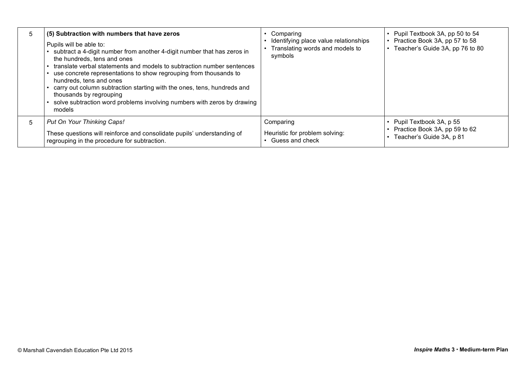| 5 | (5) Subtraction with numbers that have zeros<br>Pupils will be able to:<br>subtract a 4-digit number from another 4-digit number that has zeros in<br>the hundreds, tens and ones<br>• translate verbal statements and models to subtraction number sentences<br>use concrete representations to show regrouping from thousands to<br>hundreds, tens and ones<br>carry out column subtraction starting with the ones, tens, hundreds and<br>thousands by regrouping<br>solve subtraction word problems involving numbers with zeros by drawing<br>models | Comparing<br>Identifying place value relationships<br>Translating words and models to<br>symbols | Pupil Textbook 3A, pp 50 to 54<br>Practice Book 3A, pp 57 to 58<br>Teacher's Guide 3A, pp 76 to 80 |
|---|----------------------------------------------------------------------------------------------------------------------------------------------------------------------------------------------------------------------------------------------------------------------------------------------------------------------------------------------------------------------------------------------------------------------------------------------------------------------------------------------------------------------------------------------------------|--------------------------------------------------------------------------------------------------|----------------------------------------------------------------------------------------------------|
| 5 | Put On Your Thinking Caps!                                                                                                                                                                                                                                                                                                                                                                                                                                                                                                                               | Comparing                                                                                        | Pupil Textbook 3A, p 55                                                                            |
|   | These questions will reinforce and consolidate pupils' understanding of                                                                                                                                                                                                                                                                                                                                                                                                                                                                                  | Heuristic for problem solving:                                                                   | Practice Book 3A, pp 59 to 62                                                                      |
|   | regrouping in the procedure for subtraction.                                                                                                                                                                                                                                                                                                                                                                                                                                                                                                             | Guess and check                                                                                  | Teacher's Guide 3A, p 81                                                                           |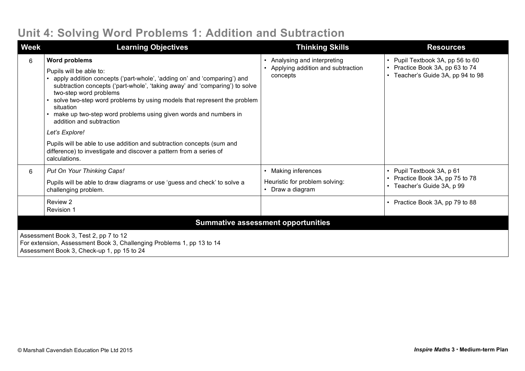### **Unit 4: Solving Word Problems 1: Addition and Subtraction**

| <b>Week</b>                                                                                                                                                  | <b>Learning Objectives</b>                                                                                                                                                                                                                                                                                                                                                                                                 | <b>Thinking Skills</b>                                                                          | <b>Resources</b>                                                                                   |  |
|--------------------------------------------------------------------------------------------------------------------------------------------------------------|----------------------------------------------------------------------------------------------------------------------------------------------------------------------------------------------------------------------------------------------------------------------------------------------------------------------------------------------------------------------------------------------------------------------------|-------------------------------------------------------------------------------------------------|----------------------------------------------------------------------------------------------------|--|
| 6                                                                                                                                                            | <b>Word problems</b><br>Pupils will be able to:<br>apply addition concepts ('part-whole', 'adding on' and 'comparing') and<br>subtraction concepts ('part-whole', 'taking away' and 'comparing') to solve<br>two-step word problems<br>solve two-step word problems by using models that represent the problem<br>situation<br>make up two-step word problems using given words and numbers in<br>addition and subtraction | Analysing and interpreting<br>$\bullet$<br>Applying addition and subtraction<br>concepts        | Pupil Textbook 3A, pp 56 to 60<br>Practice Book 3A, pp 63 to 74<br>Teacher's Guide 3A, pp 94 to 98 |  |
|                                                                                                                                                              | Let's Explore!<br>Pupils will be able to use addition and subtraction concepts (sum and<br>difference) to investigate and discover a pattern from a series of<br>calculations.                                                                                                                                                                                                                                             |                                                                                                 |                                                                                                    |  |
| 6                                                                                                                                                            | Put On Your Thinking Caps!<br>Pupils will be able to draw diagrams or use 'guess and check' to solve a<br>challenging problem.                                                                                                                                                                                                                                                                                             | Making inferences<br>$\bullet$<br>Heuristic for problem solving:<br>Draw a diagram<br>$\bullet$ | Pupil Textbook 3A, p 61<br>Practice Book 3A, pp 75 to 78<br>Teacher's Guide 3A, p 99               |  |
|                                                                                                                                                              | Review 2<br>Revision 1                                                                                                                                                                                                                                                                                                                                                                                                     |                                                                                                 | Practice Book 3A, pp 79 to 88                                                                      |  |
| <b>Summative assessment opportunities</b>                                                                                                                    |                                                                                                                                                                                                                                                                                                                                                                                                                            |                                                                                                 |                                                                                                    |  |
| Assessment Book 3, Test 2, pp 7 to 12<br>For extension, Assessment Book 3, Challenging Problems 1, pp 13 to 14<br>Assessment Book 3, Check-up 1, pp 15 to 24 |                                                                                                                                                                                                                                                                                                                                                                                                                            |                                                                                                 |                                                                                                    |  |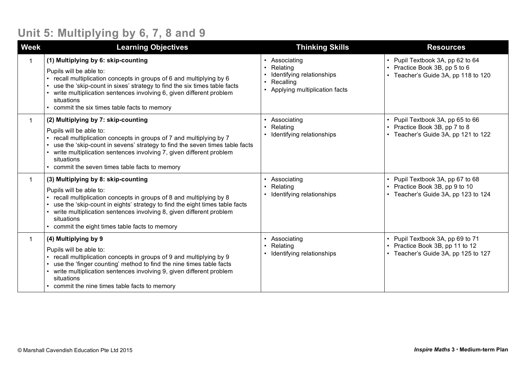# **Unit 5: Multiplying by 6, 7, 8 and 9**

| <b>Week</b> | <b>Learning Objectives</b>                                                                                                                                                                                                                                                                                                                               | <b>Thinking Skills</b>                                                                             | <b>Resources</b>                                                                                           |
|-------------|----------------------------------------------------------------------------------------------------------------------------------------------------------------------------------------------------------------------------------------------------------------------------------------------------------------------------------------------------------|----------------------------------------------------------------------------------------------------|------------------------------------------------------------------------------------------------------------|
|             | (1) Multiplying by 6: skip-counting<br>Pupils will be able to:<br>recall multiplication concepts in groups of 6 and multiplying by 6<br>use the 'skip-count in sixes' strategy to find the six times table facts<br>write multiplication sentences involving 6, given different problem<br>situations<br>commit the six times table facts to memory      | Associating<br>Relating<br>Identifying relationships<br>Recalling<br>Applying multiplication facts | • Pupil Textbook 3A, pp 62 to 64<br>• Practice Book 3B, pp 5 to 6<br>• Teacher's Guide 3A, pp 118 to 120   |
|             | (2) Multiplying by 7: skip-counting<br>Pupils will be able to:<br>recall multiplication concepts in groups of 7 and multiplying by 7<br>use the 'skip-count in sevens' strategy to find the seven times table facts<br>write multiplication sentences involving 7, given different problem<br>situations<br>commit the seven times table facts to memory | Associating<br>Relating<br>Identifying relationships                                               | • Pupil Textbook 3A, pp 65 to 66<br>Practice Book 3B, pp 7 to 8<br>• Teacher's Guide 3A, pp 121 to 122     |
|             | (3) Multiplying by 8: skip-counting<br>Pupils will be able to:<br>recall multiplication concepts in groups of 8 and multiplying by 8<br>use the 'skip-count in eights' strategy to find the eight times table facts<br>write multiplication sentences involving 8, given different problem<br>situations<br>commit the eight times table facts to memory | Associating<br>Relating<br>Identifying relationships                                               | • Pupil Textbook 3A, pp 67 to 68<br>Practice Book 3B, pp 9 to 10<br>• Teacher's Guide 3A, pp 123 to 124    |
|             | (4) Multiplying by 9<br>Pupils will be able to:<br>recall multiplication concepts in groups of 9 and multiplying by 9<br>use the 'finger counting' method to find the nine times table facts<br>write multiplication sentences involving 9, given different problem<br>situations<br>commit the nine times table facts to memory                         | Associating<br>Relating<br>Identifying relationships                                               | • Pupil Textbook 3A, pp 69 to 71<br>• Practice Book 3B, pp 11 to 12<br>• Teacher's Guide 3A, pp 125 to 127 |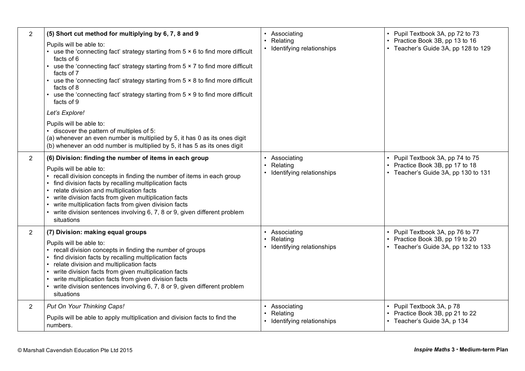| $\overline{2}$ | (5) Short cut method for multiplying by 6, 7, 8 and 9<br>Pupils will be able to:<br>• use the 'connecting fact' strategy starting from $5 \times 6$ to find more difficult<br>facts of 6<br>• use the 'connecting fact' strategy starting from 5 x 7 to find more difficult<br>facts of 7<br>• use the 'connecting fact' strategy starting from 5 x 8 to find more difficult<br>facts of 8<br>• use the 'connecting fact' strategy starting from 5 x 9 to find more difficult<br>facts of 9<br>Let's Explore!<br>Pupils will be able to:<br>· discover the pattern of multiples of 5: | • Associating<br>Relating<br>• Identifying relationships   | • Pupil Textbook 3A, pp 72 to 73<br>Practice Book 3B, pp 13 to 16<br>• Teacher's Guide 3A, pp 128 to 129 |
|----------------|---------------------------------------------------------------------------------------------------------------------------------------------------------------------------------------------------------------------------------------------------------------------------------------------------------------------------------------------------------------------------------------------------------------------------------------------------------------------------------------------------------------------------------------------------------------------------------------|------------------------------------------------------------|----------------------------------------------------------------------------------------------------------|
|                | (a) whenever an even number is multiplied by 5, it has 0 as its ones digit<br>(b) whenever an odd number is multiplied by 5, it has 5 as its ones digit                                                                                                                                                                                                                                                                                                                                                                                                                               |                                                            |                                                                                                          |
| $\overline{2}$ | (6) Division: finding the number of items in each group<br>Pupils will be able to:<br>• recall division concepts in finding the number of items in each group<br>• find division facts by recalling multiplication facts<br>• relate division and multiplication facts<br>• write division facts from given multiplication facts<br>• write multiplication facts from given division facts<br>• write division sentences involving 6, 7, 8 or 9, given different problem<br>situations                                                                                                | • Associating<br>Relating<br>• Identifying relationships   | Pupil Textbook 3A, pp 74 to 75<br>Practice Book 3B, pp 17 to 18<br>• Teacher's Guide 3A, pp 130 to 131   |
| $\overline{2}$ | (7) Division: making equal groups<br>Pupils will be able to:<br>• recall division concepts in finding the number of groups<br>• find division facts by recalling multiplication facts<br>• relate division and multiplication facts<br>• write division facts from given multiplication facts<br>• write multiplication facts from given division facts<br>• write division sentences involving 6, 7, 8 or 9, given different problem<br>situations                                                                                                                                   | • Associating<br>Relating<br>• Identifying relationships   | • Pupil Textbook 3A, pp 76 to 77<br>Practice Book 3B, pp 19 to 20<br>• Teacher's Guide 3A, pp 132 to 133 |
| $\overline{2}$ | Put On Your Thinking Caps!<br>Pupils will be able to apply multiplication and division facts to find the<br>numbers.                                                                                                                                                                                                                                                                                                                                                                                                                                                                  | • Associating<br>• Relating<br>• Identifying relationships | • Pupil Textbook 3A, p 78<br>• Practice Book 3B, pp 21 to 22<br>• Teacher's Guide 3A, p 134              |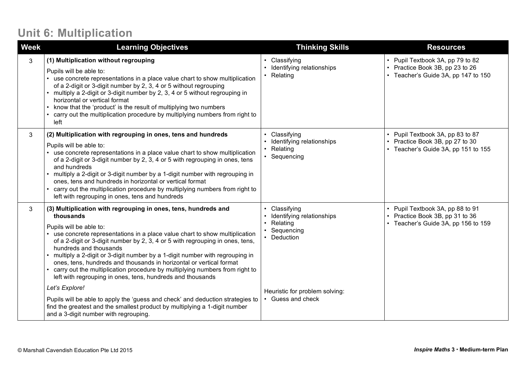### **Unit 6: Multiplication**

| <b>Week</b> | <b>Learning Objectives</b>                                                                                                                                                                                                                                                                                                                                                                                                                                                                                                                                                                         | <b>Thinking Skills</b>                                                                           | <b>Resources</b>                                                                                           |
|-------------|----------------------------------------------------------------------------------------------------------------------------------------------------------------------------------------------------------------------------------------------------------------------------------------------------------------------------------------------------------------------------------------------------------------------------------------------------------------------------------------------------------------------------------------------------------------------------------------------------|--------------------------------------------------------------------------------------------------|------------------------------------------------------------------------------------------------------------|
| 3           | (1) Multiplication without regrouping<br>Pupils will be able to:<br>• use concrete representations in a place value chart to show multiplication<br>of a 2-digit or 3-digit number by 2, 3, 4 or 5 without regrouping<br>multiply a 2-digit or 3-digit number by 2, 3, 4 or 5 without regrouping in<br>horizontal or vertical format<br>know that the 'product' is the result of multiplying two numbers<br>carry out the multiplication procedure by multiplying numbers from right to<br>left                                                                                                    | • Classifying<br>Identifying relationships<br>• Relating                                         | • Pupil Textbook 3A, pp 79 to 82<br>• Practice Book 3B, pp 23 to 26<br>• Teacher's Guide 3A, pp 147 to 150 |
| 3           | (2) Multiplication with regrouping in ones, tens and hundreds<br>Pupils will be able to:<br>use concrete representations in a place value chart to show multiplication<br>of a 2-digit or 3-digit number by 2, 3, 4 or 5 with regrouping in ones, tens<br>and hundreds<br>• multiply a 2-digit or 3-digit number by a 1-digit number with regrouping in<br>ones, tens and hundreds in horizontal or vertical format<br>carry out the multiplication procedure by multiplying numbers from right to<br>left with regrouping in ones, tens and hundreds                                              | Classifying<br>Identifying relationships<br>• Relating<br>• Sequencing                           | • Pupil Textbook 3A, pp 83 to 87<br>Practice Book 3B, pp 27 to 30<br>• Teacher's Guide 3A, pp 151 to 155   |
| 3           | (3) Multiplication with regrouping in ones, tens, hundreds and<br>thousands<br>Pupils will be able to:<br>use concrete representations in a place value chart to show multiplication<br>of a 2-digit or 3-digit number by 2, 3, 4 or 5 with regrouping in ones, tens,<br>hundreds and thousands<br>multiply a 2-digit or 3-digit number by a 1-digit number with regrouping in<br>ones, tens, hundreds and thousands in horizontal or vertical format<br>carry out the multiplication procedure by multiplying numbers from right to<br>left with regrouping in ones, tens, hundreds and thousands | Classifying<br>$\bullet$<br>Identifying relationships<br>• Relating<br>Sequencing<br>• Deduction | • Pupil Textbook 3A, pp 88 to 91<br>• Practice Book 3B, pp 31 to 36<br>• Teacher's Guide 3A, pp 156 to 159 |
|             | Let's Explore!                                                                                                                                                                                                                                                                                                                                                                                                                                                                                                                                                                                     | Heuristic for problem solving:                                                                   |                                                                                                            |
|             | Pupils will be able to apply the 'guess and check' and deduction strategies to<br>find the greatest and the smallest product by multiplying a 1-digit number<br>and a 3-digit number with regrouping.                                                                                                                                                                                                                                                                                                                                                                                              | • Guess and check                                                                                |                                                                                                            |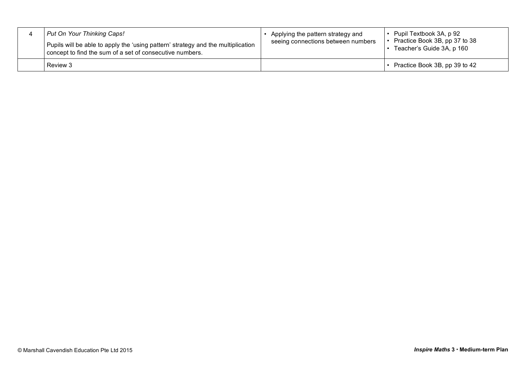| Put On Your Thinking Caps!<br>Pupils will be able to apply the 'using pattern' strategy and the multiplication<br>concept to find the sum of a set of consecutive numbers. | Applying the pattern strategy and<br>seeing connections between numbers | Pupil Textbook 3A, p 92<br>Practice Book 3B, pp 37 to 38<br>Teacher's Guide 3A, p 160 |
|----------------------------------------------------------------------------------------------------------------------------------------------------------------------------|-------------------------------------------------------------------------|---------------------------------------------------------------------------------------|
| Review 3                                                                                                                                                                   |                                                                         | Practice Book 3B, pp 39 to 42                                                         |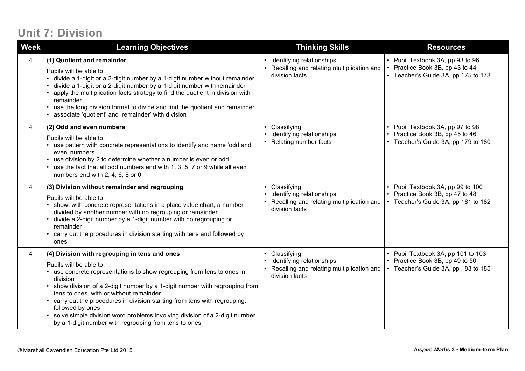## **Unit 7: Division**

| <b>Week</b> | <b>Learning Objectives</b>                                                                                                                                                                                                                                                                                                                                                                                                                                                                                                     | <b>Thinking Skills</b>                                                                                  | <b>Resources</b>                                                                                             |
|-------------|--------------------------------------------------------------------------------------------------------------------------------------------------------------------------------------------------------------------------------------------------------------------------------------------------------------------------------------------------------------------------------------------------------------------------------------------------------------------------------------------------------------------------------|---------------------------------------------------------------------------------------------------------|--------------------------------------------------------------------------------------------------------------|
| 4           | (1) Quotient and remainder<br>Pupils will be able to:<br>divide a 1-digit or a 2-digit number by a 1-digit number without remainder<br>divide a 1-digit or a 2-digit number by a 1-digit number with remainder<br>apply the multiplication facts strategy to find the quotient in division with<br>remainder<br>use the long division format to divide and find the quotient and remainder<br>associate 'quotient' and 'remainder' with division                                                                               | Identifying relationships<br>Recalling and relating multiplication and<br>division facts                | • Pupil Textbook 3A, pp 93 to 96<br>Practice Book 3B, pp 43 to 44<br>• Teacher's Guide 3A, pp 175 to 178     |
| 4           | (2) Odd and even numbers<br>Pupils will be able to:<br>use pattern with concrete representations to identify and name 'odd and<br>even' numbers<br>use division by 2 to determine whether a number is even or odd<br>use the fact that all odd numbers end with 1, 3, 5, 7 or 9 while all even<br>numbers end with 2, 4, 6, 8 or 0                                                                                                                                                                                             | Classifying<br>Identifying relationships<br>Relating number facts                                       | • Pupil Textbook 3A, pp 97 to 98<br>• Practice Book 3B, pp 45 to 46<br>• Teacher's Guide 3A, pp 179 to 180   |
| 4           | (3) Division without remainder and regrouping<br>Pupils will be able to:<br>show, with concrete representations in a place value chart, a number<br>divided by another number with no regrouping or remainder<br>divide a 2-digit number by a 1-digit number with no regrouping or<br>remainder<br>carry out the procedures in division starting with tens and followed by<br>ones                                                                                                                                             | Classifying<br>Identifying relationships<br>Recalling and relating multiplication and<br>division facts | • Pupil Textbook 3A, pp 99 to 100<br>• Practice Book 3B, pp 47 to 48<br>Teacher's Guide 3A, pp 181 to 182    |
| 4           | (4) Division with regrouping in tens and ones<br>Pupils will be able to:<br>• use concrete representations to show regrouping from tens to ones in<br>division<br>show division of a 2-digit number by a 1-digit number with regrouping from<br>tens to ones, with or without remainder<br>carry out the procedures in division starting from tens with regrouping,<br>followed by ones<br>solve simple division word problems involving division of a 2-digit number<br>by a 1-digit number with regrouping from tens to ones | Classifying<br>Identifying relationships<br>Recalling and relating multiplication and<br>division facts | • Pupil Textbook 3A, pp 101 to 103<br>• Practice Book 3B, pp 49 to 50<br>• Teacher's Guide 3A, pp 183 to 185 |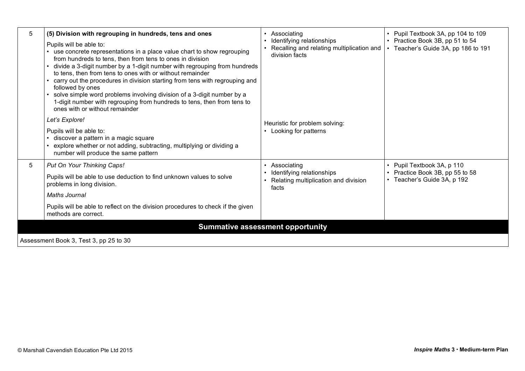| 5                                       | (5) Division with regrouping in hundreds, tens and ones                                                                                                                                                                                                                                                                                                                                                                                                                                                                                                                                              | Associating                                                                              | • Pupil Textbook 3A, pp 104 to 109                                     |
|-----------------------------------------|------------------------------------------------------------------------------------------------------------------------------------------------------------------------------------------------------------------------------------------------------------------------------------------------------------------------------------------------------------------------------------------------------------------------------------------------------------------------------------------------------------------------------------------------------------------------------------------------------|------------------------------------------------------------------------------------------|------------------------------------------------------------------------|
|                                         | Pupils will be able to:<br>• use concrete representations in a place value chart to show regrouping<br>from hundreds to tens, then from tens to ones in division<br>divide a 3-digit number by a 1-digit number with regrouping from hundreds<br>to tens, then from tens to ones with or without remainder<br>carry out the procedures in division starting from tens with regrouping and<br>followed by ones<br>solve simple word problems involving division of a 3-digit number by a<br>1-digit number with regrouping from hundreds to tens, then from tens to<br>ones with or without remainder | Identifying relationships<br>Recalling and relating multiplication and<br>division facts | • Practice Book 3B, pp 51 to 54<br>• Teacher's Guide 3A, pp 186 to 191 |
|                                         | Let's Explore!                                                                                                                                                                                                                                                                                                                                                                                                                                                                                                                                                                                       | Heuristic for problem solving:<br>Looking for patterns                                   |                                                                        |
|                                         | Pupils will be able to:<br>discover a pattern in a magic square<br>explore whether or not adding, subtracting, multiplying or dividing a<br>number will produce the same pattern                                                                                                                                                                                                                                                                                                                                                                                                                     |                                                                                          |                                                                        |
| 5                                       | Put On Your Thinking Caps!                                                                                                                                                                                                                                                                                                                                                                                                                                                                                                                                                                           | Associating                                                                              | • Pupil Textbook 3A, p 110                                             |
|                                         | Pupils will be able to use deduction to find unknown values to solve<br>problems in long division.                                                                                                                                                                                                                                                                                                                                                                                                                                                                                                   | Identifying relationships<br>Relating multiplication and division<br>facts               | • Practice Book 3B, pp 55 to 58<br>• Teacher's Guide 3A, p 192         |
|                                         | Maths Journal                                                                                                                                                                                                                                                                                                                                                                                                                                                                                                                                                                                        |                                                                                          |                                                                        |
|                                         | Pupils will be able to reflect on the division procedures to check if the given<br>methods are correct.                                                                                                                                                                                                                                                                                                                                                                                                                                                                                              |                                                                                          |                                                                        |
| <b>Summative assessment opportunity</b> |                                                                                                                                                                                                                                                                                                                                                                                                                                                                                                                                                                                                      |                                                                                          |                                                                        |
| Assessment Book 3, Test 3, pp 25 to 30  |                                                                                                                                                                                                                                                                                                                                                                                                                                                                                                                                                                                                      |                                                                                          |                                                                        |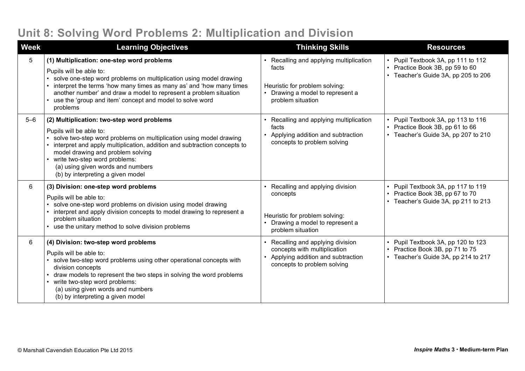### **Unit 8: Solving Word Problems 2: Multiplication and Division**

| <b>Week</b> | <b>Learning Objectives</b>                                                                                                                                                                                                                                                                                                                                              | <b>Thinking Skills</b>                                                                                                                  | <b>Resources</b>                                                                                             |
|-------------|-------------------------------------------------------------------------------------------------------------------------------------------------------------------------------------------------------------------------------------------------------------------------------------------------------------------------------------------------------------------------|-----------------------------------------------------------------------------------------------------------------------------------------|--------------------------------------------------------------------------------------------------------------|
| 5           | (1) Multiplication: one-step word problems<br>Pupils will be able to:<br>solve one-step word problems on multiplication using model drawing<br>interpret the terms 'how many times as many as' and 'how many times<br>another number' and draw a model to represent a problem situation<br>use the 'group and item' concept and model to solve word<br>problems         | Recalling and applying multiplication<br>facts<br>Heuristic for problem solving:<br>Drawing a model to represent a<br>problem situation | • Pupil Textbook 3A, pp 111 to 112<br>• Practice Book 3B, pp 59 to 60<br>• Teacher's Guide 3A, pp 205 to 206 |
| $5 - 6$     | (2) Multiplication: two-step word problems<br>Pupils will be able to:<br>solve two-step word problems on multiplication using model drawing<br>interpret and apply multiplication, addition and subtraction concepts to<br>model drawing and problem solving<br>write two-step word problems:<br>(a) using given words and numbers<br>(b) by interpreting a given model | Recalling and applying multiplication<br>facts<br>Applying addition and subtraction<br>concepts to problem solving                      | • Pupil Textbook 3A, pp 113 to 116<br>• Practice Book 3B, pp 61 to 66<br>• Teacher's Guide 3A, pp 207 to 210 |
| 6           | (3) Division: one-step word problems<br>Pupils will be able to:<br>solve one-step word problems on division using model drawing<br>interpret and apply division concepts to model drawing to represent a<br>problem situation<br>use the unitary method to solve division problems                                                                                      | Recalling and applying division<br>concepts<br>Heuristic for problem solving:<br>Drawing a model to represent a<br>problem situation    | • Pupil Textbook 3A, pp 117 to 119<br>• Practice Book 3B, pp 67 to 70<br>• Teacher's Guide 3A, pp 211 to 213 |
| 6           | (4) Division: two-step word problems<br>Pupils will be able to:<br>solve two-step word problems using other operational concepts with<br>division concepts<br>draw models to represent the two steps in solving the word problems<br>write two-step word problems:<br>(a) using given words and numbers<br>(b) by interpreting a given model                            | Recalling and applying division<br>concepts with multiplication<br>Applying addition and subtraction<br>concepts to problem solving     | • Pupil Textbook 3A, pp 120 to 123<br>• Practice Book 3B, pp 71 to 75<br>• Teacher's Guide 3A, pp 214 to 217 |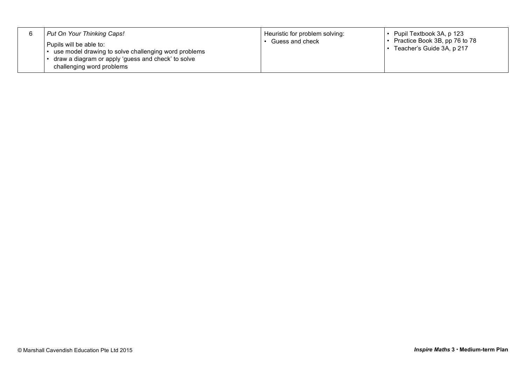|  | Put On Your Thinking Caps!<br>Pupils will be able to:<br>use model drawing to solve challenging word problems<br>draw a diagram or apply 'guess and check' to solve<br>challenging word problems | Heuristic for problem solving:<br>Guess and check | Pupil Textbook 3A, p 123<br>$\cdot$ Practice Book 3B, pp 76 to 78<br>Teacher's Guide 3A, p 217 |
|--|--------------------------------------------------------------------------------------------------------------------------------------------------------------------------------------------------|---------------------------------------------------|------------------------------------------------------------------------------------------------|
|--|--------------------------------------------------------------------------------------------------------------------------------------------------------------------------------------------------|---------------------------------------------------|------------------------------------------------------------------------------------------------|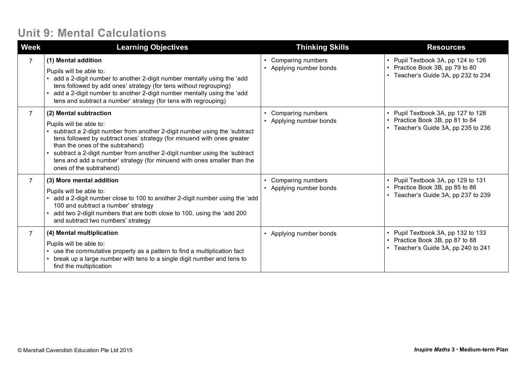#### **Unit 9: Mental Calculations**

| <b>Week</b>    | <b>Learning Objectives</b>                                                                                                                                                                                                                                                                                                                                                                                                       | <b>Thinking Skills</b>                     | <b>Resources</b>                                                                                             |
|----------------|----------------------------------------------------------------------------------------------------------------------------------------------------------------------------------------------------------------------------------------------------------------------------------------------------------------------------------------------------------------------------------------------------------------------------------|--------------------------------------------|--------------------------------------------------------------------------------------------------------------|
| $\overline{7}$ | (1) Mental addition<br>Pupils will be able to:<br>add a 2-digit number to another 2-digit number mentally using the 'add<br>tens followed by add ones' strategy (for tens without regrouping)<br>add a 2-digit number to another 2-digit number mentally using the 'add<br>tens and subtract a number' strategy (for tens with regrouping)                                                                                       | Comparing numbers<br>Applying number bonds | • Pupil Textbook 3A, pp 124 to 126<br>• Practice Book 3B, pp 79 to 80<br>• Teacher's Guide 3A, pp 232 to 234 |
| $\overline{7}$ | (2) Mental subtraction<br>Pupils will be able to:<br>subtract a 2-digit number from another 2-digit number using the 'subtract<br>tens followed by subtract ones' strategy (for minuend with ones greater<br>than the ones of the subtrahend)<br>subtract a 2-digit number from another 2-digit number using the 'subtract<br>tens and add a number' strategy (for minuend with ones smaller than the<br>ones of the subtrahend) | Comparing numbers<br>Applying number bonds | • Pupil Textbook 3A, pp 127 to 128<br>• Practice Book 3B, pp 81 to 84<br>• Teacher's Guide 3A, pp 235 to 236 |
| $\overline{7}$ | (3) More mental addition<br>Pupils will be able to:<br>add a 2-digit number close to 100 to another 2-digit number using the 'add<br>100 and subtract a number' strategy<br>add two 2-digit numbers that are both close to 100, using the 'add 200<br>and subtract two numbers' strategy                                                                                                                                         | Comparing numbers<br>Applying number bonds | • Pupil Textbook 3A, pp 129 to 131<br>• Practice Book 3B, pp 85 to 86<br>• Teacher's Guide 3A, pp 237 to 239 |
| $\overline{7}$ | (4) Mental multiplication<br>Pupils will be able to:<br>use the commutative property as a pattern to find a multiplication fact<br>• break up a large number with tens to a single digit number and tens to<br>find the multiplication                                                                                                                                                                                           | Applying number bonds                      | • Pupil Textbook 3A, pp 132 to 133<br>• Practice Book 3B, pp 87 to 88<br>• Teacher's Guide 3A, pp 240 to 241 |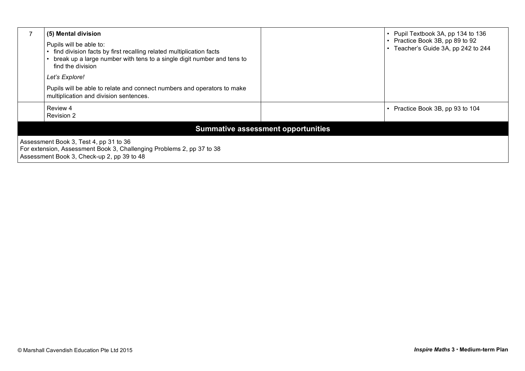|                                                                                                                                                               | (5) Mental division<br>Pupils will be able to:<br>find division facts by first recalling related multiplication facts<br>break up a large number with tens to a single digit number and tens to<br>find the division<br>Let's Explore!<br>Pupils will be able to relate and connect numbers and operators to make<br>multiplication and division sentences. |                                           | Pupil Textbook 3A, pp 134 to 136<br>Practice Book 3B, pp 89 to 92<br>Teacher's Guide 3A, pp 242 to 244 |
|---------------------------------------------------------------------------------------------------------------------------------------------------------------|-------------------------------------------------------------------------------------------------------------------------------------------------------------------------------------------------------------------------------------------------------------------------------------------------------------------------------------------------------------|-------------------------------------------|--------------------------------------------------------------------------------------------------------|
|                                                                                                                                                               | Review 4<br>Revision 2                                                                                                                                                                                                                                                                                                                                      |                                           | Practice Book 3B, pp 93 to 104                                                                         |
|                                                                                                                                                               |                                                                                                                                                                                                                                                                                                                                                             | <b>Summative assessment opportunities</b> |                                                                                                        |
| Assessment Book 3, Test 4, pp 31 to 36<br>For extension, Assessment Book 3, Challenging Problems 2, pp 37 to 38<br>Assessment Book 3, Check-up 2, pp 39 to 48 |                                                                                                                                                                                                                                                                                                                                                             |                                           |                                                                                                        |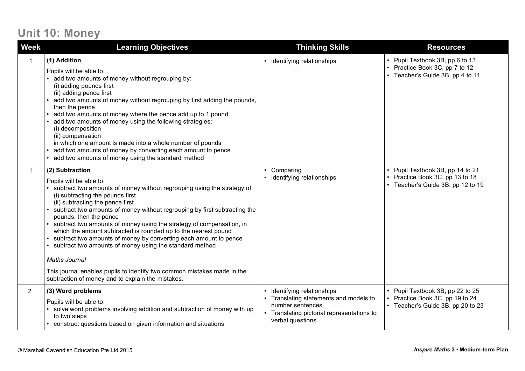### **Unit 10: Money**

| <b>Week</b>    | <b>Learning Objectives</b>                                                                                                                                                                                                                                                                                                                                                                                                                                                                                                                                                                                                                                                                                                                    | <b>Thinking Skills</b>                                                                                                                                  | <b>Resources</b>                                                                                         |
|----------------|-----------------------------------------------------------------------------------------------------------------------------------------------------------------------------------------------------------------------------------------------------------------------------------------------------------------------------------------------------------------------------------------------------------------------------------------------------------------------------------------------------------------------------------------------------------------------------------------------------------------------------------------------------------------------------------------------------------------------------------------------|---------------------------------------------------------------------------------------------------------------------------------------------------------|----------------------------------------------------------------------------------------------------------|
| 1              | (1) Addition<br>Pupils will be able to:<br>add two amounts of money without regrouping by:<br>(i) adding pounds first<br>(ii) adding pence first<br>• add two amounts of money without regrouping by first adding the pounds,<br>then the pence<br>add two amounts of money where the pence add up to 1 pound<br>add two amounts of money using the following strategies:<br>(i) decomposition<br>(ii) compensation<br>in which one amount is made into a whole number of pounds<br>add two amounts of money by converting each amount to pence<br>• add two amounts of money using the standard method                                                                                                                                       | • Identifying relationships                                                                                                                             | • Pupil Textbook 3B, pp 6 to 13<br>• Practice Book 3C, pp 7 to 12<br>• Teacher's Guide 3B, pp 4 to 11    |
| $\mathbf{1}$   | (2) Subtraction<br>Pupils will be able to:<br>• subtract two amounts of money without regrouping using the strategy of:<br>(i) subtracting the pounds first<br>(ii) subtracting the pence first<br>subtract two amounts of money without regrouping by first subtracting the<br>pounds, then the pence<br>• subtract two amounts of money using the strategy of compensation, in<br>which the amount subtracted is rounded up to the nearest pound<br>• subtract two amounts of money by converting each amount to pence<br>• subtract two amounts of money using the standard method<br><b>Maths Journal</b><br>This journal enables pupils to identify two common mistakes made in the<br>subtraction of money and to explain the mistakes. | Comparing<br>$\bullet$<br>Identifying relationships                                                                                                     | • Pupil Textbook 3B, pp 14 to 21<br>• Practice Book 3C, pp 13 to 18<br>• Teacher's Guide 3B, pp 12 to 19 |
| $\overline{2}$ | (3) Word problems<br>Pupils will be able to:<br>solve word problems involving addition and subtraction of money with up<br>to two steps<br>• construct questions based on given information and situations                                                                                                                                                                                                                                                                                                                                                                                                                                                                                                                                    | Identifying relationships<br>Translating statements and models to<br>number sentences<br>• Translating pictorial representations to<br>verbal questions | • Pupil Textbook 3B, pp 22 to 25<br>• Practice Book 3C, pp 19 to 24<br>• Teacher's Guide 3B, pp 20 to 23 |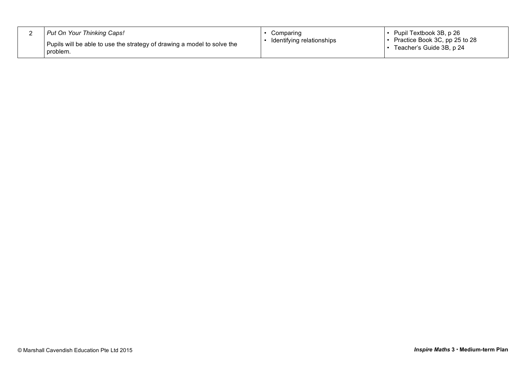|  | Put On Your Thinking Caps!<br>I Pupils will be able to use the strategy of drawing a model to solve the<br>problem. | Comparing<br>Identifying relationships | Pupil Textbook 3B, p 26<br>Practice Book 3C, pp 25 to 28<br>Teacher's Guide 3B, p 24 |
|--|---------------------------------------------------------------------------------------------------------------------|----------------------------------------|--------------------------------------------------------------------------------------|
|--|---------------------------------------------------------------------------------------------------------------------|----------------------------------------|--------------------------------------------------------------------------------------|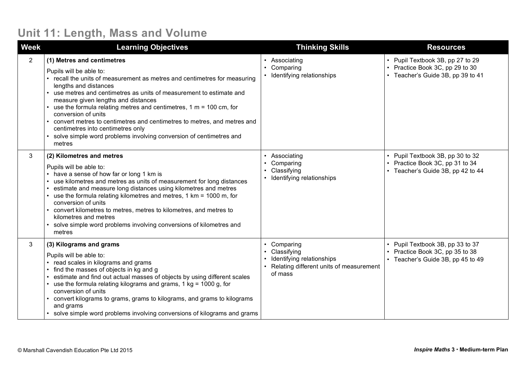### **Unit 11: Length, Mass and Volume**

| <b>Week</b>    | <b>Learning Objectives</b>                                                                                                                                                                                                                                                                                                                                                                                                                                                                                                                                               | <b>Thinking Skills</b>                                                                                            | <b>Resources</b>                                                                                         |
|----------------|--------------------------------------------------------------------------------------------------------------------------------------------------------------------------------------------------------------------------------------------------------------------------------------------------------------------------------------------------------------------------------------------------------------------------------------------------------------------------------------------------------------------------------------------------------------------------|-------------------------------------------------------------------------------------------------------------------|----------------------------------------------------------------------------------------------------------|
| $\overline{2}$ | (1) Metres and centimetres<br>Pupils will be able to:<br>• recall the units of measurement as metres and centimetres for measuring<br>lengths and distances<br>use metres and centimetres as units of measurement to estimate and<br>measure given lengths and distances<br>use the formula relating metres and centimetres, $1 m = 100 cm$ , for<br>conversion of units<br>convert metres to centimetres and centimetres to metres, and metres and<br>centimetres into centimetres only<br>solve simple word problems involving conversion of centimetres and<br>metres | • Associating<br>Comparing<br>• Identifying relationships                                                         | • Pupil Textbook 3B, pp 27 to 29<br>• Practice Book 3C, pp 29 to 30<br>• Teacher's Guide 3B, pp 39 to 41 |
| 3              | (2) Kilometres and metres<br>Pupils will be able to:<br>• have a sense of how far or long 1 km is<br>use kilometres and metres as units of measurement for long distances<br>$\bullet$<br>estimate and measure long distances using kilometres and metres<br>use the formula relating kilometres and metres, 1 km = 1000 m, for<br>conversion of units<br>convert kilometres to metres, metres to kilometres, and metres to<br>kilometres and metres<br>solve simple word problems involving conversions of kilometres and<br>metres                                     | • Associating<br>Comparing<br>$\bullet$<br>Classifying<br>$\bullet$<br>• Identifying relationships                | • Pupil Textbook 3B, pp 30 to 32<br>• Practice Book 3C, pp 31 to 34<br>• Teacher's Guide 3B, pp 42 to 44 |
| 3              | (3) Kilograms and grams<br>Pupils will be able to:<br>• read scales in kilograms and grams<br>find the masses of objects in kg and g<br>estimate and find out actual masses of objects by using different scales<br>$\cdot$ use the formula relating kilograms and grams, 1 kg = 1000 g, for<br>conversion of units<br>convert kilograms to grams, grams to kilograms, and grams to kilograms<br>and grams<br>solve simple word problems involving conversions of kilograms and grams                                                                                    | • Comparing<br>• Classifying<br>Identifying relationships<br>• Relating different units of measurement<br>of mass | • Pupil Textbook 3B, pp 33 to 37<br>• Practice Book 3C, pp 35 to 38<br>• Teacher's Guide 3B, pp 45 to 49 |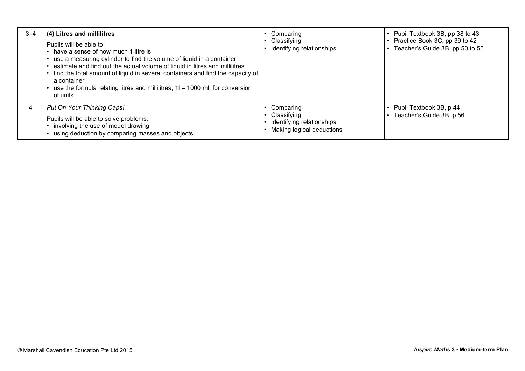| $3 - 4$ | (4) Litres and millilitres<br>Pupils will be able to:<br>have a sense of how much 1 litre is<br>use a measuring cylinder to find the volume of liquid in a container<br>estimate and find out the actual volume of liquid in litres and millilitres<br>find the total amount of liquid in several containers and find the capacity of<br>a container<br>use the formula relating litres and millilitres, $11 = 1000$ ml, for conversion<br>of units. | Comparing<br>Classifying<br>Identifying relationships                                           | Pupil Textbook 3B, pp 38 to 43<br>Practice Book 3C, pp 39 to 42<br>Teacher's Guide 3B, pp 50 to 55 |
|---------|------------------------------------------------------------------------------------------------------------------------------------------------------------------------------------------------------------------------------------------------------------------------------------------------------------------------------------------------------------------------------------------------------------------------------------------------------|-------------------------------------------------------------------------------------------------|----------------------------------------------------------------------------------------------------|
|         | Put On Your Thinking Caps!<br>Pupils will be able to solve problems:<br>involving the use of model drawing<br>using deduction by comparing masses and objects                                                                                                                                                                                                                                                                                        | Comparing<br>Classifying<br>$\bullet$<br>Identifying relationships<br>Making logical deductions | • Pupil Textbook 3B, p 44<br>Teacher's Guide 3B, p 56                                              |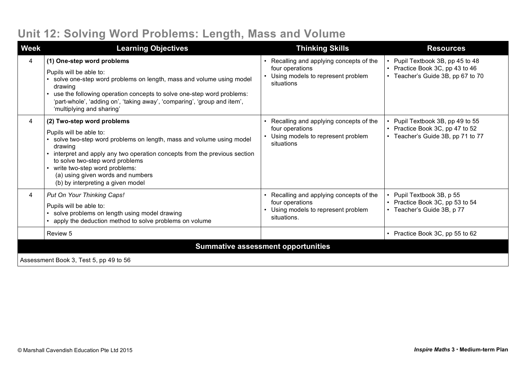# **Unit 12: Solving Word Problems: Length, Mass and Volume**

| <b>Week</b>                               | <b>Learning Objectives</b>                                                                                                                                                                                                                                                                                                                                        | <b>Thinking Skills</b>                                                                                        | <b>Resources</b>                                                                                         |
|-------------------------------------------|-------------------------------------------------------------------------------------------------------------------------------------------------------------------------------------------------------------------------------------------------------------------------------------------------------------------------------------------------------------------|---------------------------------------------------------------------------------------------------------------|----------------------------------------------------------------------------------------------------------|
| 4                                         | (1) One-step word problems<br>Pupils will be able to:<br>solve one-step word problems on length, mass and volume using model<br>drawing<br>use the following operation concepts to solve one-step word problems:<br>'part-whole', 'adding on', 'taking away', 'comparing', 'group and item',<br>'multiplying and sharing'                                         | Recalling and applying concepts of the<br>four operations<br>Using models to represent problem<br>situations  | • Pupil Textbook 3B, pp 45 to 48<br>• Practice Book 3C, pp 43 to 46<br>• Teacher's Guide 3B, pp 67 to 70 |
| 4                                         | (2) Two-step word problems<br>Pupils will be able to:<br>solve two-step word problems on length, mass and volume using model<br>drawing<br>interpret and apply any two operation concepts from the previous section<br>to solve two-step word problems<br>write two-step word problems:<br>(a) using given words and numbers<br>(b) by interpreting a given model | Recalling and applying concepts of the<br>four operations<br>Using models to represent problem<br>situations  | Pupil Textbook 3B, pp 49 to 55<br>• Practice Book 3C, pp 47 to 52<br>• Teacher's Guide 3B, pp 71 to 77   |
| 4                                         | Put On Your Thinking Caps!<br>Pupils will be able to:<br>solve problems on length using model drawing<br>apply the deduction method to solve problems on volume                                                                                                                                                                                                   | Recalling and applying concepts of the<br>four operations<br>Using models to represent problem<br>situations. | • Pupil Textbook 3B, p 55<br>• Practice Book 3C, pp 53 to 54<br>• Teacher's Guide 3B, p 77               |
|                                           | Review 5                                                                                                                                                                                                                                                                                                                                                          |                                                                                                               | • Practice Book 3C, pp 55 to 62                                                                          |
| <b>Summative assessment opportunities</b> |                                                                                                                                                                                                                                                                                                                                                                   |                                                                                                               |                                                                                                          |
| Assessment Book 3, Test 5, pp 49 to 56    |                                                                                                                                                                                                                                                                                                                                                                   |                                                                                                               |                                                                                                          |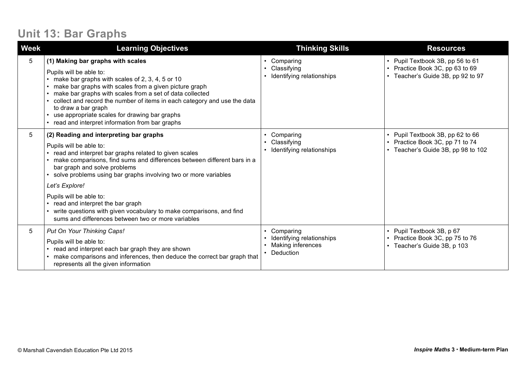### **Unit 13: Bar Graphs**

| <b>Week</b> | <b>Learning Objectives</b>                                                                                                                                                                                                                                                                                                                                                                                                                  | <b>Thinking Skills</b>                                                                            | <b>Resources</b>                                                                                          |
|-------------|---------------------------------------------------------------------------------------------------------------------------------------------------------------------------------------------------------------------------------------------------------------------------------------------------------------------------------------------------------------------------------------------------------------------------------------------|---------------------------------------------------------------------------------------------------|-----------------------------------------------------------------------------------------------------------|
| 5           | (1) Making bar graphs with scales<br>Pupils will be able to:<br>make bar graphs with scales of 2, 3, 4, 5 or 10<br>make bar graphs with scales from a given picture graph<br>make bar graphs with scales from a set of data collected<br>collect and record the number of items in each category and use the data<br>to draw a bar graph<br>use appropriate scales for drawing bar graphs<br>read and interpret information from bar graphs | Comparing<br>$\bullet$<br>Classifying<br>$\bullet$<br>Identifying relationships<br>$\bullet$      | • Pupil Textbook 3B, pp 56 to 61<br>• Practice Book 3C, pp 63 to 69<br>• Teacher's Guide 3B, pp 92 to 97  |
| 5           | (2) Reading and interpreting bar graphs<br>Pupils will be able to:<br>read and interpret bar graphs related to given scales<br>make comparisons, find sums and differences between different bars in a<br>bar graph and solve problems<br>solve problems using bar graphs involving two or more variables                                                                                                                                   | Comparing<br>Classifying<br>Identifying relationships                                             | • Pupil Textbook 3B, pp 62 to 66<br>• Practice Book 3C, pp 71 to 74<br>• Teacher's Guide 3B, pp 98 to 102 |
|             | Let's Explore!<br>Pupils will be able to:<br>read and interpret the bar graph<br>write questions with given vocabulary to make comparisons, and find<br>sums and differences between two or more variables                                                                                                                                                                                                                                  |                                                                                                   |                                                                                                           |
| 5           | Put On Your Thinking Caps!<br>Pupils will be able to:<br>read and interpret each bar graph they are shown<br>make comparisons and inferences, then deduce the correct bar graph that<br>represents all the given information                                                                                                                                                                                                                | Comparing<br>٠<br>Identifying relationships<br><b>Making inferences</b><br>$\bullet$<br>Deduction | • Pupil Textbook 3B, p 67<br>• Practice Book 3C, pp 75 to 76<br>• Teacher's Guide 3B, p 103               |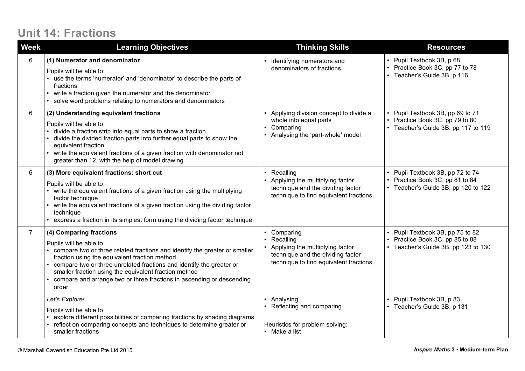### **Unit 14: Fractions**

| <b>Week</b>    | <b>Learning Objectives</b>                                                                                                                                                                                                                                                                                                                                                                           | <b>Thinking Skills</b>                                                                                                                   | <b>Resources</b>                                                                                           |
|----------------|------------------------------------------------------------------------------------------------------------------------------------------------------------------------------------------------------------------------------------------------------------------------------------------------------------------------------------------------------------------------------------------------------|------------------------------------------------------------------------------------------------------------------------------------------|------------------------------------------------------------------------------------------------------------|
| 6              | (1) Numerator and denominator<br>Pupils will be able to:<br>use the terms 'numerator' and 'denominator' to describe the parts of<br>fractions<br>write a fraction given the numerator and the denominator<br>solve word problems relating to numerators and denominators                                                                                                                             | Identifying numerators and<br>denominators of fractions                                                                                  | • Pupil Textbook 3B, p 68<br>• Practice Book 3C, pp 77 to 78<br>• Teacher's Guide 3B, p 116                |
| 6              | (2) Understanding equivalent fractions<br>Pupils will be able to:<br>divide a fraction strip into equal parts to show a fraction<br>divide the divided fraction parts into further equal parts to show the<br>equivalent fraction<br>write the equivalent fractions of a given fraction with denominator not<br>greater than 12, with the help of model drawing                                      | Applying division concept to divide a<br>whole into equal parts<br>Comparing<br>Analysing the 'part-whole' model                         | • Pupil Textbook 3B, pp 69 to 71<br>• Practice Book 3C, pp 79 to 80<br>• Teacher's Guide 3B, pp 117 to 119 |
| 6              | (3) More equivalent fractions: short cut<br>Pupils will be able to:<br>write the equivalent fractions of a given fraction using the multiplying<br>factor technique<br>write the equivalent fractions of a given fraction using the dividing factor<br>technique<br>express a fraction in its simplest form using the dividing factor technique                                                      | Recalling<br>Applying the multiplying factor<br>technique and the dividing factor<br>technique to find equivalent fractions              | • Pupil Textbook 3B, pp 72 to 74<br>• Practice Book 3C, pp 81 to 84<br>• Teacher's Guide 3B, pp 120 to 122 |
| $\overline{7}$ | (4) Comparing fractions<br>Pupils will be able to:<br>compare two or three related fractions and identify the greater or smaller<br>fraction using the equivalent fraction method<br>compare two or three unrelated fractions and identify the greater or<br>smaller fraction using the equivalent fraction method<br>compare and arrange two or three fractions in ascending or descending<br>order | Comparing<br>Recalling<br>Applying the multiplying factor<br>technique and the dividing factor<br>technique to find equivalent fractions | • Pupil Textbook 3B, pp 75 to 82<br>• Practice Book 3C, pp 85 to 88<br>• Teacher's Guide 3B, pp 123 to 130 |
|                | Let's Explore!<br>Pupils will be able to:<br>explore different possibilities of comparing fractions by shading diagrams<br>reflect on comparing concepts and techniques to determine greater or<br>smaller fractions                                                                                                                                                                                 | Analysing<br>Reflecting and comparing<br>Heuristics for problem solving:<br>• Make a list                                                | • Pupil Textbook 3B, p 83<br>• Teacher's Guide 3B, p 131                                                   |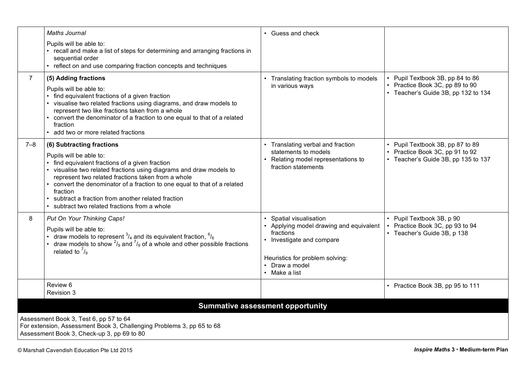|                                                                                                                                                               | <b>Maths Journal</b>                                                                                                                                                                                                                                                                                                                                                                                                            | • Guess and check                                                                                                                                                            |                                                                                                          |  |  |
|---------------------------------------------------------------------------------------------------------------------------------------------------------------|---------------------------------------------------------------------------------------------------------------------------------------------------------------------------------------------------------------------------------------------------------------------------------------------------------------------------------------------------------------------------------------------------------------------------------|------------------------------------------------------------------------------------------------------------------------------------------------------------------------------|----------------------------------------------------------------------------------------------------------|--|--|
|                                                                                                                                                               | Pupils will be able to:<br>• recall and make a list of steps for determining and arranging fractions in<br>sequential order<br>• reflect on and use comparing fraction concepts and techniques                                                                                                                                                                                                                                  |                                                                                                                                                                              |                                                                                                          |  |  |
| $\overline{7}$                                                                                                                                                | (5) Adding fractions<br>Pupils will be able to:<br>find equivalent fractions of a given fraction<br>• visualise two related fractions using diagrams, and draw models to<br>represent two like fractions taken from a whole<br>convert the denominator of a fraction to one equal to that of a related<br>fraction<br>• add two or more related fractions                                                                       | Translating fraction symbols to models<br>in various ways                                                                                                                    | Pupil Textbook 3B, pp 84 to 86<br>• Practice Book 3C, pp 89 to 90<br>• Teacher's Guide 3B, pp 132 to 134 |  |  |
| $7 - 8$                                                                                                                                                       | (6) Subtracting fractions<br>Pupils will be able to:<br>find equivalent fractions of a given fraction<br>• visualise two related fractions using diagrams and draw models to<br>represent two related fractions taken from a whole<br>convert the denominator of a fraction to one equal to that of a related<br>fraction<br>• subtract a fraction from another related fraction<br>subtract two related fractions from a whole | • Translating verbal and fraction<br>statements to models<br>Relating model representations to<br>fraction statements                                                        | • Pupil Textbook 3B, pp 87 to 89<br>Practice Book 3C, pp 91 to 92<br>• Teacher's Guide 3B, pp 135 to 137 |  |  |
| 8                                                                                                                                                             | Put On Your Thinking Caps!<br>Pupils will be able to:<br>• draw models to represent $^{3}/_4$ and its equivalent fraction, $^{6}/_8$<br>draw models to show $\frac{2}{9}$ and $\frac{7}{9}$ of a whole and other possible fractions<br>related to $\frac{7}{9}$                                                                                                                                                                 | Spatial visualisation<br>• Applying model drawing and equivalent<br>fractions<br>Investigate and compare<br>Heuristics for problem solving:<br>Draw a model<br>• Make a list | • Pupil Textbook 3B, p 90<br>Practice Book 3C, pp 93 to 94<br>• Teacher's Guide 3B, p 138                |  |  |
|                                                                                                                                                               | Review 6<br>Revision 3                                                                                                                                                                                                                                                                                                                                                                                                          |                                                                                                                                                                              | • Practice Book 3B, pp 95 to 111                                                                         |  |  |
|                                                                                                                                                               | <b>Summative assessment opportunity</b>                                                                                                                                                                                                                                                                                                                                                                                         |                                                                                                                                                                              |                                                                                                          |  |  |
| Assessment Book 3, Test 6, pp 57 to 64<br>For extension, Assessment Book 3, Challenging Problems 3, pp 65 to 68<br>Assessment Book 3, Check-up 3, pp 69 to 80 |                                                                                                                                                                                                                                                                                                                                                                                                                                 |                                                                                                                                                                              |                                                                                                          |  |  |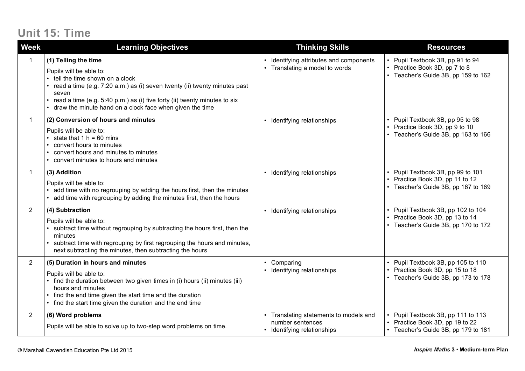## **Unit 15: Time**

| <b>Week</b>    | <b>Learning Objectives</b>                                                                                                                                                                                                                                                                                                    | <b>Thinking Skills</b>                                                                  | <b>Resources</b>                                                                                             |
|----------------|-------------------------------------------------------------------------------------------------------------------------------------------------------------------------------------------------------------------------------------------------------------------------------------------------------------------------------|-----------------------------------------------------------------------------------------|--------------------------------------------------------------------------------------------------------------|
|                | (1) Telling the time<br>Pupils will be able to:<br>tell the time shown on a clock<br>read a time (e.g. 7:20 a.m.) as (i) seven twenty (ii) twenty minutes past<br>seven<br>read a time (e.g. 5:40 p.m.) as (i) five forty (ii) twenty minutes to six<br>$\bullet$<br>draw the minute hand on a clock face when given the time | Identifying attributes and components<br>Translating a model to words                   | Pupil Textbook 3B, pp 91 to 94<br>• Practice Book 3D, pp 7 to 8<br>• Teacher's Guide 3B, pp 159 to 162       |
| $\mathbf{1}$   | (2) Conversion of hours and minutes<br>Pupils will be able to:<br>state that $1 h = 60$ mins<br>convert hours to minutes<br>convert hours and minutes to minutes<br>convert minutes to hours and minutes                                                                                                                      | Identifying relationships                                                               | • Pupil Textbook 3B, pp 95 to 98<br>• Practice Book 3D, pp 9 to 10<br>• Teacher's Guide 3B, pp 163 to 166    |
| $\mathbf{1}$   | (3) Addition<br>Pupils will be able to:<br>add time with no regrouping by adding the hours first, then the minutes<br>add time with regrouping by adding the minutes first, then the hours                                                                                                                                    | Identifying relationships                                                               | • Pupil Textbook 3B, pp 99 to 101<br>Practice Book 3D, pp 11 to 12<br>• Teacher's Guide 3B, pp 167 to 169    |
| $\overline{2}$ | (4) Subtraction<br>Pupils will be able to:<br>subtract time without regrouping by subtracting the hours first, then the<br>minutes<br>subtract time with regrouping by first regrouping the hours and minutes,<br>next subtracting the minutes, then subtracting the hours                                                    | • Identifying relationships                                                             | • Pupil Textbook 3B, pp 102 to 104<br>• Practice Book 3D, pp 13 to 14<br>• Teacher's Guide 3B, pp 170 to 172 |
| $\overline{2}$ | (5) Duration in hours and minutes<br>Pupils will be able to:<br>find the duration between two given times in (i) hours (ii) minutes (iii)<br>hours and minutes<br>find the end time given the start time and the duration<br>find the start time given the duration and the end time                                          | Comparing<br>Identifying relationships                                                  | • Pupil Textbook 3B, pp 105 to 110<br>Practice Book 3D, pp 15 to 18<br>• Teacher's Guide 3B, pp 173 to 178   |
| $\overline{2}$ | (6) Word problems<br>Pupils will be able to solve up to two-step word problems on time.                                                                                                                                                                                                                                       | Translating statements to models and<br>number sentences<br>• Identifying relationships | Pupil Textbook 3B, pp 111 to 113<br>• Practice Book 3D, pp 19 to 22<br>• Teacher's Guide 3B, pp 179 to 181   |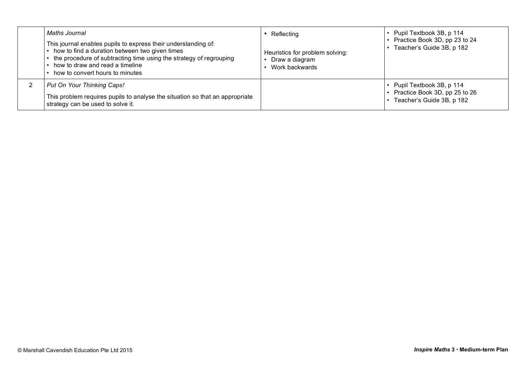| Maths Journal<br>This journal enables pupils to express their understanding of:<br>how to find a duration between two given times<br>the procedure of subtracting time using the strategy of regrouping<br>how to draw and read a timeline<br>how to convert hours to minutes | Reflecting<br>Heuristics for problem solving:<br>Draw a diagram<br>Work backwards | • Pupil Textbook 3B, p 114<br>• Practice Book 3D, pp 23 to 24<br>Teacher's Guide 3B, p 182 |
|-------------------------------------------------------------------------------------------------------------------------------------------------------------------------------------------------------------------------------------------------------------------------------|-----------------------------------------------------------------------------------|--------------------------------------------------------------------------------------------|
| Put On Your Thinking Caps!                                                                                                                                                                                                                                                    |                                                                                   | $\cdot$ Pupil Textbook 3B, p 114                                                           |
| This problem requires pupils to analyse the situation so that an appropriate<br>strategy can be used to solve it.                                                                                                                                                             |                                                                                   | • Practice Book 3D, pp 25 to 26<br>• Teacher's Guide 3B, p 182                             |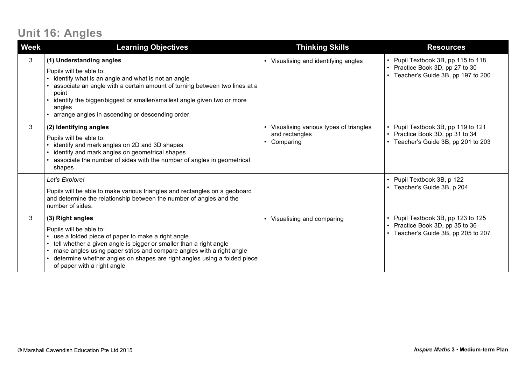## **Unit 16: Angles**

| <b>Week</b> | <b>Learning Objectives</b>                                                                                                                                                                                                                                                                                                                                | <b>Thinking Skills</b>                                                             | <b>Resources</b>                                                                                             |
|-------------|-----------------------------------------------------------------------------------------------------------------------------------------------------------------------------------------------------------------------------------------------------------------------------------------------------------------------------------------------------------|------------------------------------------------------------------------------------|--------------------------------------------------------------------------------------------------------------|
| 3           | (1) Understanding angles<br>Pupils will be able to:<br>identify what is an angle and what is not an angle<br>associate an angle with a certain amount of turning between two lines at a<br>point<br>identify the bigger/biggest or smaller/smallest angle given two or more<br>angles<br>arrange angles in ascending or descending order                  | Visualising and identifying angles<br>$\bullet$                                    | • Pupil Textbook 3B, pp 115 to 118<br>• Practice Book 3D, pp 27 to 30<br>• Teacher's Guide 3B, pp 197 to 200 |
| 3           | (2) Identifying angles<br>Pupils will be able to:<br>identify and mark angles on 2D and 3D shapes<br>identify and mark angles on geometrical shapes<br>associate the number of sides with the number of angles in geometrical<br>shapes                                                                                                                   | Visualising various types of triangles<br>and rectangles<br>Comparing<br>$\bullet$ | • Pupil Textbook 3B, pp 119 to 121<br>• Practice Book 3D, pp 31 to 34<br>• Teacher's Guide 3B, pp 201 to 203 |
|             | Let's Explore!<br>Pupils will be able to make various triangles and rectangles on a geoboard<br>and determine the relationship between the number of angles and the<br>number of sides.                                                                                                                                                                   |                                                                                    | • Pupil Textbook 3B, p 122<br>• Teacher's Guide 3B, p 204                                                    |
| 3           | (3) Right angles<br>Pupils will be able to:<br>use a folded piece of paper to make a right angle<br>tell whether a given angle is bigger or smaller than a right angle<br>make angles using paper strips and compare angles with a right angle<br>determine whether angles on shapes are right angles using a folded piece<br>of paper with a right angle | Visualising and comparing                                                          | • Pupil Textbook 3B, pp 123 to 125<br>• Practice Book 3D, pp 35 to 36<br>• Teacher's Guide 3B, pp 205 to 207 |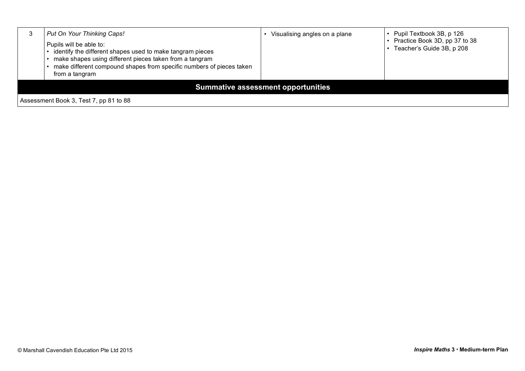|                                           | Put On Your Thinking Caps!<br>Pupils will be able to:<br>identify the different shapes used to make tangram pieces<br>make shapes using different pieces taken from a tangram<br>make different compound shapes from specific numbers of pieces taken<br>from a tangram | Visualising angles on a plane | • Pupil Textbook 3B, p 126<br>• Practice Book 3D, pp 37 to 38<br>Teacher's Guide 3B, p 208 |  |
|-------------------------------------------|-------------------------------------------------------------------------------------------------------------------------------------------------------------------------------------------------------------------------------------------------------------------------|-------------------------------|--------------------------------------------------------------------------------------------|--|
| <b>Summative assessment opportunities</b> |                                                                                                                                                                                                                                                                         |                               |                                                                                            |  |
| Assessment Book 3, Test 7, pp 81 to 88    |                                                                                                                                                                                                                                                                         |                               |                                                                                            |  |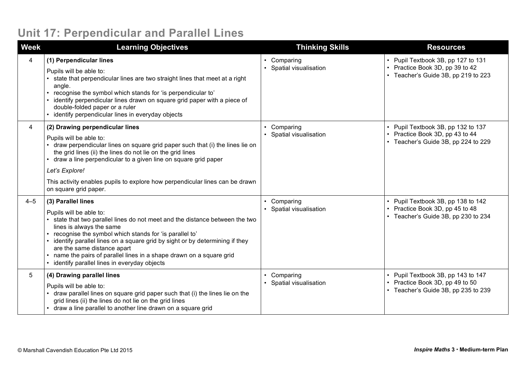### **Unit 17: Perpendicular and Parallel Lines**

| <b>Week</b> | <b>Learning Objectives</b>                                                                                                                                                                                                                                                                                                                                                                                                                                        | <b>Thinking Skills</b>             | <b>Resources</b>                                                                                             |
|-------------|-------------------------------------------------------------------------------------------------------------------------------------------------------------------------------------------------------------------------------------------------------------------------------------------------------------------------------------------------------------------------------------------------------------------------------------------------------------------|------------------------------------|--------------------------------------------------------------------------------------------------------------|
| 4           | (1) Perpendicular lines<br>Pupils will be able to:<br>state that perpendicular lines are two straight lines that meet at a right<br>angle.<br>recognise the symbol which stands for 'is perpendicular to'<br>identify perpendicular lines drawn on square grid paper with a piece of<br>double-folded paper or a ruler<br>• identify perpendicular lines in everyday objects                                                                                      | Comparing<br>Spatial visualisation | • Pupil Textbook 3B, pp 127 to 131<br>• Practice Book 3D, pp 39 to 42<br>• Teacher's Guide 3B, pp 219 to 223 |
| 4           | (2) Drawing perpendicular lines<br>Pupils will be able to:<br>draw perpendicular lines on square grid paper such that (i) the lines lie on<br>the grid lines (ii) the lines do not lie on the grid lines<br>draw a line perpendicular to a given line on square grid paper<br>$\bullet$<br>Let's Explore!<br>This activity enables pupils to explore how perpendicular lines can be drawn<br>on square grid paper.                                                | Comparing<br>Spatial visualisation | Pupil Textbook 3B, pp 132 to 137<br>• Practice Book 3D, pp 43 to 44<br>• Teacher's Guide 3B, pp 224 to 229   |
| $4 - 5$     | (3) Parallel lines<br>Pupils will be able to:<br>state that two parallel lines do not meet and the distance between the two<br>lines is always the same<br>recognise the symbol which stands for 'is parallel to'<br>identify parallel lines on a square grid by sight or by determining if they<br>are the same distance apart<br>name the pairs of parallel lines in a shape drawn on a square grid<br>identify parallel lines in everyday objects<br>$\bullet$ | Comparing<br>Spatial visualisation | Pupil Textbook 3B, pp 138 to 142<br>Practice Book 3D, pp 45 to 48<br>• Teacher's Guide 3B, pp 230 to 234     |
| 5           | (4) Drawing parallel lines<br>Pupils will be able to:<br>draw parallel lines on square grid paper such that (i) the lines lie on the<br>grid lines (ii) the lines do not lie on the grid lines<br>draw a line parallel to another line drawn on a square grid                                                                                                                                                                                                     | Comparing<br>Spatial visualisation | • Pupil Textbook 3B, pp 143 to 147<br>Practice Book 3D, pp 49 to 50<br>• Teacher's Guide 3B, pp 235 to 239   |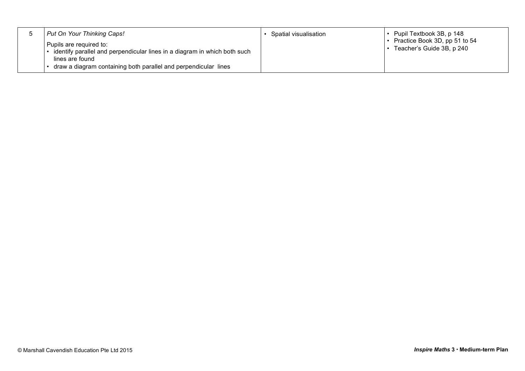| Put On Your Thinking Caps!                                                                                              | Spatial visualisation | $\cdot$ Pupil Textbook 3B, p 148                             |
|-------------------------------------------------------------------------------------------------------------------------|-----------------------|--------------------------------------------------------------|
| Pupils are required to:<br>identify parallel and perpendicular lines in a diagram in which both such<br>lines are found |                       | • Practice Book 3D, pp 51 to 54<br>Teacher's Guide 3B, p 240 |
| draw a diagram containing both parallel and perpendicular lines                                                         |                       |                                                              |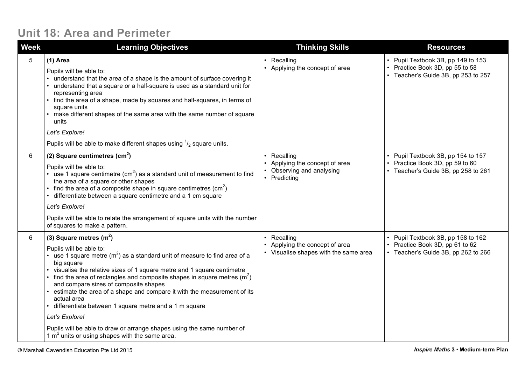#### **Unit 18: Area and Perimeter**

| <b>Week</b> | <b>Learning Objectives</b>                                                                                                                                                                                                                                                                                                                                                                                                                                                                                                                                                                                                                            | <b>Thinking Skills</b>                                                               | <b>Resources</b>                                                                                             |
|-------------|-------------------------------------------------------------------------------------------------------------------------------------------------------------------------------------------------------------------------------------------------------------------------------------------------------------------------------------------------------------------------------------------------------------------------------------------------------------------------------------------------------------------------------------------------------------------------------------------------------------------------------------------------------|--------------------------------------------------------------------------------------|--------------------------------------------------------------------------------------------------------------|
| 5           | $(1)$ Area<br>Pupils will be able to:<br>• understand that the area of a shape is the amount of surface covering it<br>• understand that a square or a half-square is used as a standard unit for<br>representing area<br>• find the area of a shape, made by squares and half-squares, in terms of<br>square units<br>• make different shapes of the same area with the same number of square<br>units<br>Let's Explore!<br>Pupils will be able to make different shapes using $\frac{1}{2}$ square units.                                                                                                                                           | • Recalling<br>• Applying the concept of area                                        | • Pupil Textbook 3B, pp 149 to 153<br>• Practice Book 3D, pp 55 to 58<br>• Teacher's Guide 3B, pp 253 to 257 |
| 6           | (2) Square centimetres $(cm2)$<br>Pupils will be able to:<br>• use 1 square centimetre $(cm2)$ as a standard unit of measurement to find<br>the area of a square or other shapes<br>find the area of a composite shape in square centimetres $\text{(cm}^2\text{)}$<br>• differentiate between a square centimetre and a 1 cm square<br>Let's Explore!<br>Pupils will be able to relate the arrangement of square units with the number<br>of squares to make a pattern.                                                                                                                                                                              | Recalling<br>Applying the concept of area<br>Observing and analysing<br>• Predicting | • Pupil Textbook 3B, pp 154 to 157<br>• Practice Book 3D, pp 59 to 60<br>• Teacher's Guide 3B, pp 258 to 261 |
| 6           | (3) Square metres $(m2)$<br>Pupils will be able to:<br>use 1 square metre $(m^2)$ as a standard unit of measure to find area of a<br>big square<br>• visualise the relative sizes of 1 square metre and 1 square centimetre<br>find the area of rectangles and composite shapes in square metres $(m2)$<br>and compare sizes of composite shapes<br>estimate the area of a shape and compare it with the measurement of its<br>actual area<br>• differentiate between 1 square metre and a 1 m square<br>Let's Explore!<br>Pupils will be able to draw or arrange shapes using the same number of<br>1 $m2$ units or using shapes with the same area. | Recalling<br>Applying the concept of area<br>• Visualise shapes with the same area   | • Pupil Textbook 3B, pp 158 to 162<br>Practice Book 3D, pp 61 to 62<br>• Teacher's Guide 3B, pp 262 to 266   |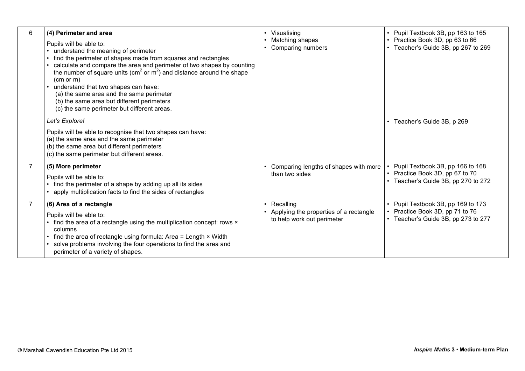| 6              | (4) Perimeter and area<br>Pupils will be able to:<br>understand the meaning of perimeter<br>find the perimeter of shapes made from squares and rectangles<br>calculate and compare the area and perimeter of two shapes by counting<br>the number of square units ( $cm2$ or $m2$ ) and distance around the shape<br>(cm or m)<br>understand that two shapes can have:<br>(a) the same area and the same perimeter<br>(b) the same area but different perimeters<br>(c) the same perimeter but different areas. | Visualising<br>Matching shapes<br>Comparing numbers                               | Pupil Textbook 3B, pp 163 to 165<br>Practice Book 3D, pp 63 to 66<br>• Teacher's Guide 3B, pp 267 to 269 |
|----------------|-----------------------------------------------------------------------------------------------------------------------------------------------------------------------------------------------------------------------------------------------------------------------------------------------------------------------------------------------------------------------------------------------------------------------------------------------------------------------------------------------------------------|-----------------------------------------------------------------------------------|----------------------------------------------------------------------------------------------------------|
|                | Let's Explore!<br>Pupils will be able to recognise that two shapes can have:<br>(a) the same area and the same perimeter<br>(b) the same area but different perimeters<br>(c) the same perimeter but different areas.                                                                                                                                                                                                                                                                                           |                                                                                   | • Teacher's Guide 3B, p 269                                                                              |
| $\overline{7}$ | (5) More perimeter<br>Pupils will be able to:<br>• find the perimeter of a shape by adding up all its sides<br>apply multiplication facts to find the sides of rectangles                                                                                                                                                                                                                                                                                                                                       | Comparing lengths of shapes with more<br>than two sides                           | Pupil Textbook 3B, pp 166 to 168<br>Practice Book 3D, pp 67 to 70<br>Teacher's Guide 3B, pp 270 to 272   |
| $\overline{7}$ | (6) Area of a rectangle<br>Pupils will be able to:<br>• find the area of a rectangle using the multiplication concept: rows x<br>columns<br>$\cdot$ find the area of rectangle using formula: Area = Length $\times$ Width<br>solve problems involving the four operations to find the area and<br>perimeter of a variety of shapes.                                                                                                                                                                            | Recalling<br>Applying the properties of a rectangle<br>to help work out perimeter | Pupil Textbook 3B, pp 169 to 173<br>Practice Book 3D, pp 71 to 76<br>Teacher's Guide 3B, pp 273 to 277   |